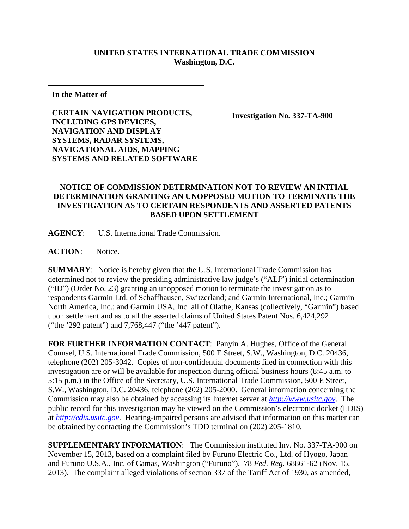## **UNITED STATES INTERNATIONAL TRADE COMMISSION Washington, D.C.**

**In the Matter of**

**CERTAIN NAVIGATION PRODUCTS, INCLUDING GPS DEVICES, NAVIGATION AND DISPLAY SYSTEMS, RADAR SYSTEMS, NAVIGATIONAL AIDS, MAPPING SYSTEMS AND RELATED SOFTWARE**

**Investigation No. 337-TA-900**

## **NOTICE OF COMMISSION DETERMINATION NOT TO REVIEW AN INITIAL DETERMINATION GRANTING AN UNOPPOSED MOTION TO TERMINATE THE INVESTIGATION AS TO CERTAIN RESPONDENTS AND ASSERTED PATENTS BASED UPON SETTLEMENT**

**AGENCY**: U.S. International Trade Commission.

**ACTION**: Notice.

**SUMMARY**: Notice is hereby given that the U.S. International Trade Commission has determined not to review the presiding administrative law judge's ("ALJ") initial determination ("ID") (Order No. 23) granting an unopposed motion to terminate the investigation as to respondents Garmin Ltd. of Schaffhausen, Switzerland; and Garmin International, Inc.; Garmin North America, Inc.; and Garmin USA, Inc. all of Olathe, Kansas (collectively, "Garmin") based upon settlement and as to all the asserted claims of United States Patent Nos. 6,424,292 ("the '292 patent") and 7,768,447 ("the '447 patent").

**FOR FURTHER INFORMATION CONTACT**: Panyin A. Hughes, Office of the General Counsel, U.S. International Trade Commission, 500 E Street, S.W., Washington, D.C. 20436, telephone (202) 205-3042. Copies of non-confidential documents filed in connection with this investigation are or will be available for inspection during official business hours (8:45 a.m. to 5:15 p.m.) in the Office of the Secretary, U.S. International Trade Commission, 500 E Street, S.W., Washington, D.C. 20436, telephone (202) 205-2000. General information concerning the Commission may also be obtained by accessing its Internet server at *[http://www.usitc.gov](http://www.usitc.gov/)*. The public record for this investigation may be viewed on the Commission's electronic docket (EDIS) at *[http://edis.usitc.gov](http://edis.usitc.gov/)*. Hearing-impaired persons are advised that information on this matter can be obtained by contacting the Commission's TDD terminal on (202) 205-1810.

**SUPPLEMENTARY INFORMATION**: The Commission instituted Inv. No. 337-TA-900 on November 15, 2013, based on a complaint filed by Furuno Electric Co., Ltd. of Hyogo, Japan and Furuno U.S.A., Inc. of Camas, Washington ("Furuno"). 78 *Fed. Reg.* 68861-62 (Nov. 15, 2013). The complaint alleged violations of section 337 of the Tariff Act of 1930, as amended,